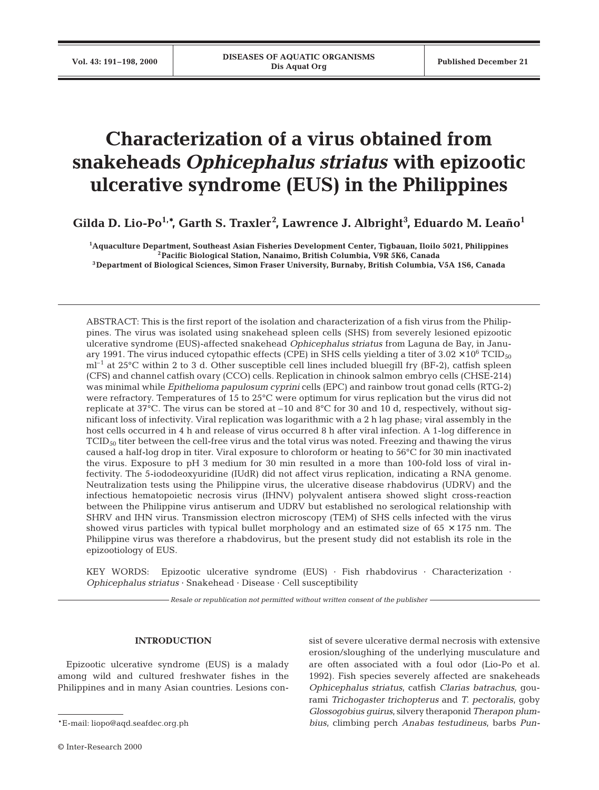# **Characterization of a virus obtained from snakeheads** *Ophicephalus striatus* **with epizootic ulcerative syndrome (EUS) in the Philippines**

**Gilda D. Lio-Po1,\*, Garth S. Traxler2 , Lawrence J. Albright<sup>3</sup> , Eduardo M. Leaño1**

**1 Aquaculture Department, Southeast Asian Fisheries Development Center, Tigbauan, Iloilo 5021, Philippines 2Pacific Biological Station, Nanaimo, British Columbia, V9R 5K6, Canada 3Department of Biological Sciences, Simon Fraser University, Burnaby, British Columbia, V5A 1S6, Canada**

ABSTRACT: This is the first report of the isolation and characterization of a fish virus from the Philippines. The virus was isolated using snakehead spleen cells (SHS) from severely lesioned epizootic ulcerative syndrome (EUS)-affected snakehead *Ophicephalus striatus* from Laguna de Bay, in January 1991. The virus induced cytopathic effects (CPE) in SHS cells yielding a titer of  $3.02 \times 10^6$  TCID<sub>50</sub>  $ml^{-1}$  at 25°C within 2 to 3 d. Other susceptible cell lines included bluegill fry (BF-2), catfish spleen (CFS) and channel catfish ovary (CCO) cells. Replication in chinook salmon embryo cells (CHSE-214) was minimal while *Epithelioma papulosum cyprini* cells (EPC) and rainbow trout gonad cells (RTG-2) were refractory. Temperatures of 15 to 25°C were optimum for virus replication but the virus did not replicate at 37°C. The virus can be stored at  $-10$  and 8°C for 30 and 10 d, respectively, without significant loss of infectivity. Viral replication was logarithmic with a 2 h lag phase; viral assembly in the host cells occurred in 4 h and release of virus occurred 8 h after viral infection. A 1-log difference in  $TCID<sub>50</sub>$  titer between the cell-free virus and the total virus was noted. Freezing and thawing the virus caused a half-log drop in titer. Viral exposure to chloroform or heating to 56°C for 30 min inactivated the virus. Exposure to pH 3 medium for 30 min resulted in a more than 100-fold loss of viral infectivity. The 5-iododeoxyuridine (IUdR) did not affect virus replication, indicating a RNA genome. Neutralization tests using the Philippine virus, the ulcerative disease rhabdovirus (UDRV) and the infectious hematopoietic necrosis virus (IHNV) polyvalent antisera showed slight cross-reaction between the Philippine virus antiserum and UDRV but established no serological relationship with SHRV and IHN virus. Transmission electron microscopy (TEM) of SHS cells infected with the virus showed virus particles with typical bullet morphology and an estimated size of  $65 \times 175$  nm. The Philippine virus was therefore a rhabdovirus, but the present study did not establish its role in the epizootiology of EUS.

KEY WORDS: Epizootic ulcerative syndrome (EUS) · Fish rhabdovirus · Characterization · *Ophicephalus striatus* · Snakehead · Disease · Cell susceptibility

*Resale or republication not permitted without written consent of the publisher*

# **INTRODUCTION**

Epizootic ulcerative syndrome (EUS) is a malady among wild and cultured freshwater fishes in the Philippines and in many Asian countries. Lesions consist of severe ulcerative dermal necrosis with extensive erosion/sloughing of the underlying musculature and are often associated with a foul odor (Lio-Po et al. 1992). Fish species severely affected are snakeheads *Ophicephalus striatus*, catfish *Clarias batrachus*, gourami *Trichogaster trichopterus* and *T. pectoralis*, goby *Glossogobius guirus*, silvery theraponid*Therapon plumbius*, climbing perch *Anabas testudineus*, barbs *Pun-*

<sup>\*</sup>E-mail: liopo@aqd.seafdec.org.ph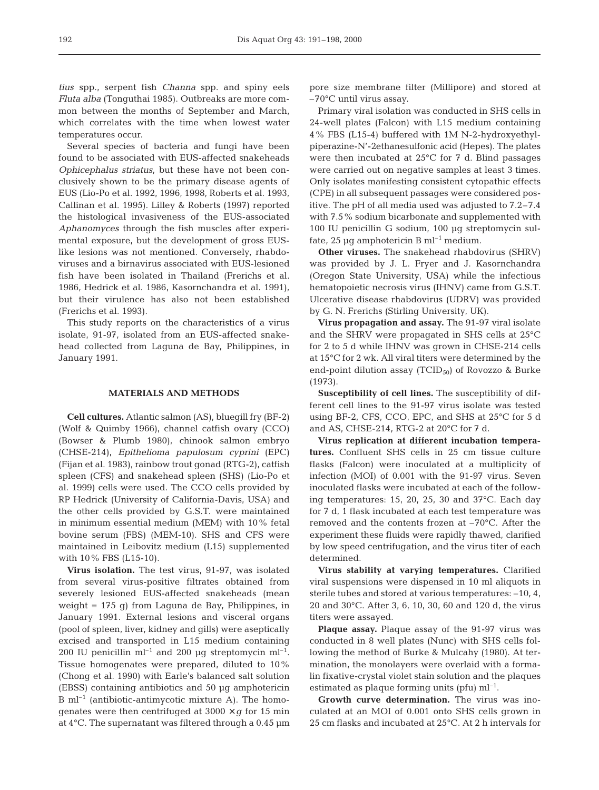*tius* spp., serpent fish *Channa* spp. and spiny eels *Fluta alba* (Tonguthai 1985). Outbreaks are more common between the months of September and March, which correlates with the time when lowest water temperatures occur.

Several species of bacteria and fungi have been found to be associated with EUS-affected snakeheads *Ophicephalus striatus*, but these have not been conclusively shown to be the primary disease agents of EUS (Lio-Po et al. 1992, 1996, 1998, Roberts et al. 1993, Callinan et al. 1995). Lilley & Roberts (1997) reported the histological invasiveness of the EUS-associated *Aphanomyces* through the fish muscles after experimental exposure, but the development of gross EUSlike lesions was not mentioned. Conversely, rhabdoviruses and a birnavirus associated with EUS-lesioned fish have been isolated in Thailand (Frerichs et al. 1986, Hedrick et al. 1986, Kasornchandra et al. 1991), but their virulence has also not been established (Frerichs et al. 1993).

This study reports on the characteristics of a virus isolate, 91-97, isolated from an EUS-affected snakehead collected from Laguna de Bay, Philippines, in January 1991.

### **MATERIALS AND METHODS**

**Cell cultures.** Atlantic salmon (AS), bluegill fry (BF-2) (Wolf & Quimby 1966), channel catfish ovary (CCO) (Bowser & Plumb 1980), chinook salmon embryo (CHSE-214), *Epithelioma papulosum cyprini* (EPC) (Fijan et al. 1983), rainbow trout gonad (RTG-2), catfish spleen (CFS) and snakehead spleen (SHS) (Lio-Po et al. 1999) cells were used. The CCO cells provided by RP Hedrick (University of California-Davis, USA) and the other cells provided by G.S.T. were maintained in minimum essential medium (MEM) with 10% fetal bovine serum (FBS) (MEM-10). SHS and CFS were maintained in Leibovitz medium (L15) supplemented with 10% FBS (L15-10).

**Virus isolation.** The test virus, 91-97, was isolated from several virus-positive filtrates obtained from severely lesioned EUS-affected snakeheads (mean weight = 175 g) from Laguna de Bay, Philippines, in January 1991. External lesions and visceral organs (pool of spleen, liver, kidney and gills) were aseptically excised and transported in L15 medium containing 200 IU penicillin ml<sup>-1</sup> and 200  $\mu$ g streptomycin ml<sup>-1</sup>. Tissue homogenates were prepared, diluted to 10% (Chong et al. 1990) with Earle's balanced salt solution (EBSS) containing antibiotics and 50 µg amphotericin  $B \text{ ml}^{-1}$  (antibiotic-antimycotic mixture A). The homogenates were then centrifuged at  $3000 \times g$  for 15 min at 4°C. The supernatant was filtered through a 0.45 µm

pore size membrane filter (Millipore) and stored at –70°C until virus assay.

Primary viral isolation was conducted in SHS cells in 24-well plates (Falcon) with L15 medium containing 4% FBS (L15-4) buffered with 1M N-2-hydroxyethylpiperazine-N'-2ethanesulfonic acid (Hepes). The plates were then incubated at 25°C for 7 d. Blind passages were carried out on negative samples at least 3 times. Only isolates manifesting consistent cytopathic effects (CPE) in all subsequent passages were considered positive. The pH of all media used was adjusted to 7.2–7.4 with 7.5% sodium bicarbonate and supplemented with 100 IU penicillin G sodium, 100 µg streptomycin sulfate, 25 µg amphotericin B ml<sup>-1</sup> medium.

**Other viruses.** The snakehead rhabdovirus (SHRV) was provided by J. L. Fryer and J. Kasornchandra (Oregon State University, USA) while the infectious hematopoietic necrosis virus (IHNV) came from G.S.T. Ulcerative disease rhabdovirus (UDRV) was provided by G. N. Frerichs (Stirling University, UK).

**Virus propagation and assay.** The 91-97 viral isolate and the SHRV were propagated in SHS cells at 25°C for 2 to 5 d while IHNV was grown in CHSE-214 cells at 15°C for 2 wk. All viral titers were determined by the end-point dilution assay (TCID $_{50}$ ) of Rovozzo & Burke (1973).

**Susceptibility of cell lines.** The susceptibility of different cell lines to the 91-97 virus isolate was tested using BF-2, CFS, CCO, EPC, and SHS at 25°C for 5 d and AS, CHSE-214, RTG-2 at 20°C for 7 d.

**Virus replication at different incubation temperatures.** Confluent SHS cells in 25 cm tissue culture flasks (Falcon) were inoculated at a multiplicity of infection (MOI) of 0.001 with the 91-97 virus. Seven inoculated flasks were incubated at each of the following temperatures: 15, 20, 25, 30 and 37°C. Each day for 7 d, 1 flask incubated at each test temperature was removed and the contents frozen at –70°C. After the experiment these fluids were rapidly thawed, clarified by low speed centrifugation, and the virus titer of each determined.

**Virus stability at varying temperatures.** Clarified viral suspensions were dispensed in 10 ml aliquots in sterile tubes and stored at various temperatures: –10, 4, 20 and 30°C. After 3, 6, 10, 30, 60 and 120 d, the virus titers were assayed.

**Plaque assay.** Plaque assay of the 91-97 virus was conducted in 8 well plates (Nunc) with SHS cells following the method of Burke & Mulcahy (1980). At termination, the monolayers were overlaid with a formalin fixative-crystal violet stain solution and the plaques estimated as plaque forming units (pfu)  $ml^{-1}$ .

**Growth curve determination.** The virus was inoculated at an MOI of 0.001 onto SHS cells grown in 25 cm flasks and incubated at 25°C. At 2 h intervals for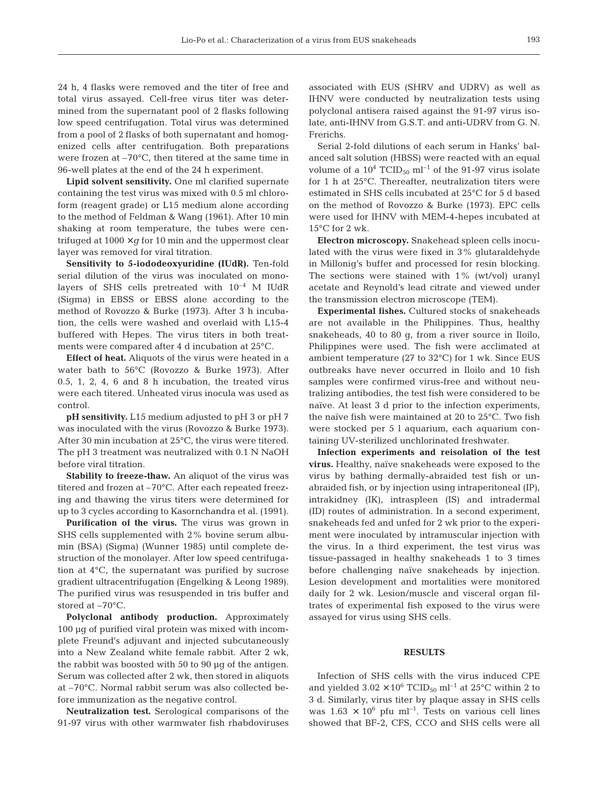24 h, 4 flasks were removed and the titer of free and total virus assayed. Cell-free virus titer was determined from the supernatant pool of 2 flasks following low speed centrifugation. Total virus was determined from a pool of 2 flasks of both supernatant and homogenized cells after centrifugation. Both preparations were frozen at –70°C, then titered at the same time in 96-well plates at the end of the 24 h experiment.

**Lipid solvent sensitivity.** One ml clarified supernate containing the test virus was mixed with 0.5 ml chloroform (reagent grade) or L15 medium alone according to the method of Feldman & Wang (1961). After 10 min shaking at room temperature, the tubes were centrifuged at  $1000 \times g$  for 10 min and the uppermost clear layer was removed for viral titration.

**Sensitivity to 5-iododeoxyuridine (IUdR).** Ten-fold serial dilution of the virus was inoculated on monolayers of SHS cells pretreated with  $10^{-4}$  M IUdR (Sigma) in EBSS or EBSS alone according to the method of Rovozzo & Burke (1973). After 3 h incubation, the cells were washed and overlaid with L15-4 buffered with Hepes. The virus titers in both treatments were compared after 4 d incubation at 25°C.

**Effect of heat.** Aliquots of the virus were heated in a water bath to 56°C (Rovozzo & Burke 1973). After 0.5, 1, 2, 4, 6 and 8 h incubation, the treated virus were each titered. Unheated virus inocula was used as control.

**pH sensitivity.** L15 medium adjusted to pH 3 or pH 7 was inoculated with the virus (Rovozzo & Burke 1973). After 30 min incubation at 25°C, the virus were titered. The pH 3 treatment was neutralized with 0.1 N NaOH before viral titration.

**Stability to freeze-thaw.** An aliquot of the virus was titered and frozen at –70°C. After each repeated freezing and thawing the virus titers were determined for up to 3 cycles according to Kasornchandra et al. (1991).

**Purification of the virus.** The virus was grown in SHS cells supplemented with 2% bovine serum albumin (BSA) (Sigma) (Wunner 1985) until complete destruction of the monolayer. After low speed centrifugation at 4°C, the supernatant was purified by sucrose gradient ultracentrifugation (Engelking & Leong 1989). The purified virus was resuspended in tris buffer and stored at –70°C.

**Polyclonal antibody production.** Approximately 100 µg of purified viral protein was mixed with incomplete Freund's adjuvant and injected subcutaneously into a New Zealand white female rabbit. After 2 wk, the rabbit was boosted with 50 to 90 µg of the antigen. Serum was collected after 2 wk, then stored in aliquots at –70°C. Normal rabbit serum was also collected before immunization as the negative control.

**Neutralization test.** Serological comparisons of the 91-97 virus with other warmwater fish rhabdoviruses associated with EUS (SHRV and UDRV) as well as IHNV were conducted by neutralization tests using polyclonal antisera raised against the 91-97 virus isolate, anti-IHNV from G.S.T. and anti-UDRV from G. N. Frerichs.

Serial 2-fold dilutions of each serum in Hanks' balanced salt solution (HBSS) were reacted with an equal volume of a  $10^4$  TCID<sub>50</sub> ml<sup>-1</sup> of the 91-97 virus isolate for 1 h at 25°C. Thereafter, neutralization titers were estimated in SHS cells incubated at 25°C for 5 d based on the method of Rovozzo & Burke (1973). EPC cells were used for IHNV with MEM-4-hepes incubated at 15°C for 2 wk.

**Electron microscopy.** Snakehead spleen cells inoculated with the virus were fixed in 3% glutaraldehyde in Millonig's buffer and processed for resin blocking. The sections were stained with 1% (wt/vol) uranyl acetate and Reynold's lead citrate and viewed under the transmission electron microscope (TEM).

**Experimental fishes.** Cultured stocks of snakeheads are not available in the Philippines. Thus, healthy snakeheads, 40 to 80 g, from a river source in Iloilo, Philippines were used. The fish were acclimated at ambient temperature (27 to 32°C) for 1 wk. Since EUS outbreaks have never occurred in Iloilo and 10 fish samples were confirmed virus-free and without neutralizing antibodies, the test fish were considered to be naïve. At least 3 d prior to the infection experiments, the naïve fish were maintained at 20 to 25°C. Two fish were stocked per 5 l aquarium, each aquarium containing UV-sterilized unchlorinated freshwater.

**Infection experiments and reisolation of the test virus.** Healthy, naïve snakeheads were exposed to the virus by bathing dermally-abraided test fish or unabraided fish, or by injection using intraperitoneal (IP), intrakidney (IK), intraspleen (IS) and intradermal (ID) routes of administration. In a second experiment, snakeheads fed and unfed for 2 wk prior to the experiment were inoculated by intramuscular injection with the virus. In a third experiment, the test virus was tissue-passaged in healthy snakeheads 1 to 3 times before challenging naïve snakeheads by injection. Lesion development and mortalities were monitored daily for 2 wk. Lesion/muscle and visceral organ filtrates of experimental fish exposed to the virus were assayed for virus using SHS cells.

#### **RESULTS**

Infection of SHS cells with the virus induced CPE and yielded  $3.02 \times 10^6$  TCID<sub>50</sub> ml<sup>-1</sup> at 25°C within 2 to 3 d. Similarly, virus titer by plaque assay in SHS cells was  $1.63 \times 10^6$  pfu ml<sup>-1</sup>. Tests on various cell lines showed that BF-2, CFS, CCO and SHS cells were all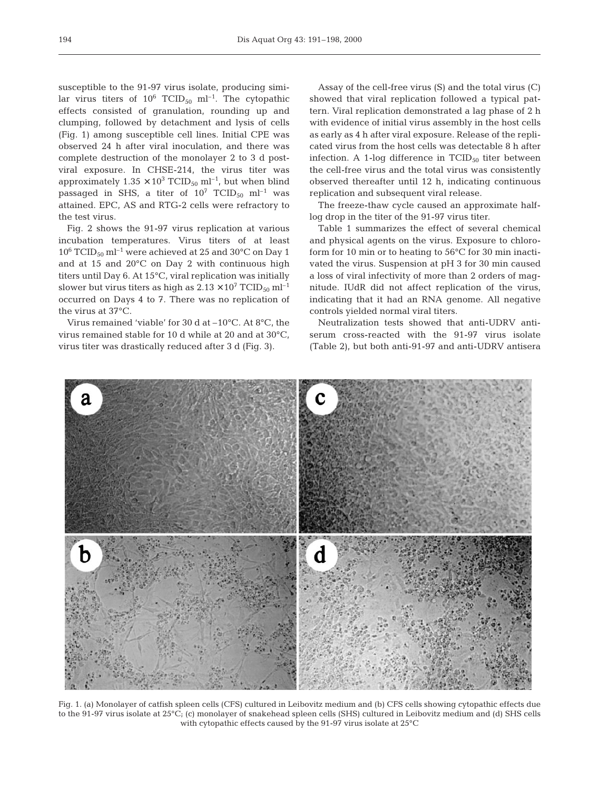susceptible to the 91-97 virus isolate, producing similar virus titers of  $10^6$  TCID<sub>50</sub> ml<sup>-1</sup>. The cytopathic effects consisted of granulation, rounding up and clumping, followed by detachment and lysis of cells (Fig. 1) among susceptible cell lines. Initial CPE was observed 24 h after viral inoculation, and there was complete destruction of the monolayer 2 to 3 d postviral exposure. In CHSE-214, the virus titer was approximately  $1.35 \times 10^3$  TCID<sub>50</sub> ml<sup>-1</sup>, but when blind passaged in SHS, a titer of  $10^7$  TCID<sub>50</sub> ml<sup>-1</sup> was attained. EPC, AS and RTG-2 cells were refractory to the test virus.

Fig. 2 shows the 91-97 virus replication at various incubation temperatures. Virus titers of at least  $10^6$  TCID<sub>50</sub> ml<sup>-1</sup> were achieved at 25 and 30<sup>o</sup>C on Day 1 and at 15 and 20°C on Day 2 with continuous high titers until Day 6. At 15°C, viral replication was initially slower but virus titers as high as  $2.13 \times 10^7$  TCID<sub>50</sub> ml<sup>-1</sup> occurred on Days 4 to 7. There was no replication of the virus at 37°C.

Virus remained 'viable' for 30 d at –10°C. At 8°C, the virus remained stable for 10 d while at 20 and at 30°C, virus titer was drastically reduced after 3 d (Fig. 3).

Assay of the cell-free virus (S) and the total virus (C) showed that viral replication followed a typical pattern. Viral replication demonstrated a lag phase of 2 h with evidence of initial virus assembly in the host cells as early as 4 h after viral exposure. Release of the replicated virus from the host cells was detectable 8 h after infection. A 1-log difference in  $TCID_{50}$  titer between the cell-free virus and the total virus was consistently observed thereafter until 12 h, indicating continuous replication and subsequent viral release.

The freeze-thaw cycle caused an approximate halflog drop in the titer of the 91-97 virus titer.

Table 1 summarizes the effect of several chemical and physical agents on the virus. Exposure to chloroform for 10 min or to heating to 56°C for 30 min inactivated the virus. Suspension at pH 3 for 30 min caused a loss of viral infectivity of more than 2 orders of magnitude. IUdR did not affect replication of the virus, indicating that it had an RNA genome. All negative controls yielded normal viral titers.

Neutralization tests showed that anti-UDRV antiserum cross-reacted with the 91-97 virus isolate (Table 2), but both anti-91-97 and anti-UDRV antisera



Fig. 1. (a) Monolayer of catfish spleen cells (CFS) cultured in Leibovitz medium and (b) CFS cells showing cytopathic effects due to the 91-97 virus isolate at 25°C; (c) monolayer of snakehead spleen cells (SHS) cultured in Leibovitz medium and (d) SHS cells with cytopathic effects caused by the 91-97 virus isolate at 25°C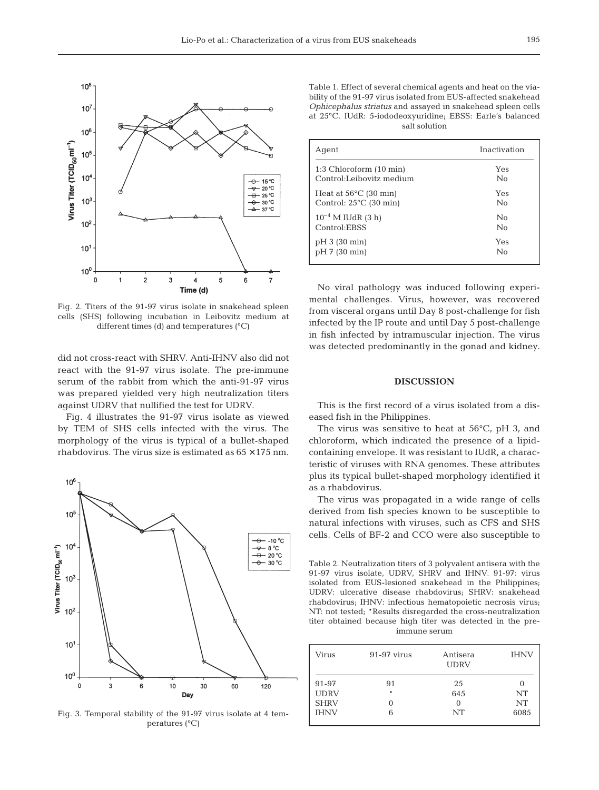

Fig. 2. Titers of the 91-97 virus isolate in snakehead spleen cells (SHS) following incubation in Leibovitz medium at different times (d) and temperatures (°C)

did not cross-react with SHRV. Anti-IHNV also did not react with the 91-97 virus isolate. The pre-immune serum of the rabbit from which the anti-91-97 virus was prepared yielded very high neutralization titers against UDRV that nullified the test for UDRV.

Fig. 4 illustrates the 91-97 virus isolate as viewed by TEM of SHS cells infected with the virus. The morphology of the virus is typical of a bullet-shaped rhabdovirus. The virus size is estimated as  $65 \times 175$  nm.



Fig. 3. Temporal stability of the 91-97 virus isolate at 4 temperatures (°C)

Table 1. Effect of several chemical agents and heat on the viability of the 91-97 virus isolated from EUS-affected snakehead *Ophicephalus striatus* and assayed in snakehead spleen cells at 25°C. IUdR: 5-iododeoxyuridine; EBSS: Earle's balanced salt solution

| Agent                               | Inactivation   |  |
|-------------------------------------|----------------|--|
| $1:3$ Chloroform $(10 \text{ min})$ | Yes            |  |
| Control:Leibovitz medium            | No             |  |
| Heat at $56^{\circ}$ C (30 min)     | Yes            |  |
| Control: $25^{\circ}$ C (30 min)    | $\overline{N}$ |  |
| $10^{-4}$ M IUdR (3 h)              | $\overline{N}$ |  |
| Control:EBSS                        | No             |  |
| pH 3 (30 min)                       | Yes            |  |
| pH 7 (30 min)                       | No             |  |

No viral pathology was induced following experimental challenges. Virus, however, was recovered from visceral organs until Day 8 post-challenge for fish infected by the IP route and until Day 5 post-challenge in fish infected by intramuscular injection. The virus was detected predominantly in the gonad and kidney.

## **DISCUSSION**

This is the first record of a virus isolated from a diseased fish in the Philippines.

The virus was sensitive to heat at 56°C, pH 3, and chloroform, which indicated the presence of a lipidcontaining envelope. It was resistant to IUdR, a characteristic of viruses with RNA genomes. These attributes plus its typical bullet-shaped morphology identified it as a rhabdovirus.

The virus was propagated in a wide range of cells derived from fish species known to be susceptible to natural infections with viruses, such as CFS and SHS cells. Cells of BF-2 and CCO were also susceptible to

Table 2. Neutralization titers of 3 polyvalent antisera with the 91-97 virus isolate, UDRV, SHRV and IHNV. 91-97: virus isolated from EUS-lesioned snakehead in the Philippines; UDRV: ulcerative disease rhabdovirus; SHRV: snakehead rhabdovirus; IHNV: infectious hematopoietic necrosis virus; NT: not tested; \*Results disregarded the cross-neutralization titer obtained because high titer was detected in the preimmune serum

| Virus       | $91-97$ virus | Antisera<br><b>UDRV</b> | <b>IHNV</b> |
|-------------|---------------|-------------------------|-------------|
| 91-97       | 91            | 25                      | $\theta$    |
| <b>UDRV</b> | $\ast$        | 645                     | <b>NT</b>   |
| <b>SHRV</b> | $\Omega$      | 0                       | <b>NT</b>   |
| <b>IHNV</b> | 6             | NT                      | 6085        |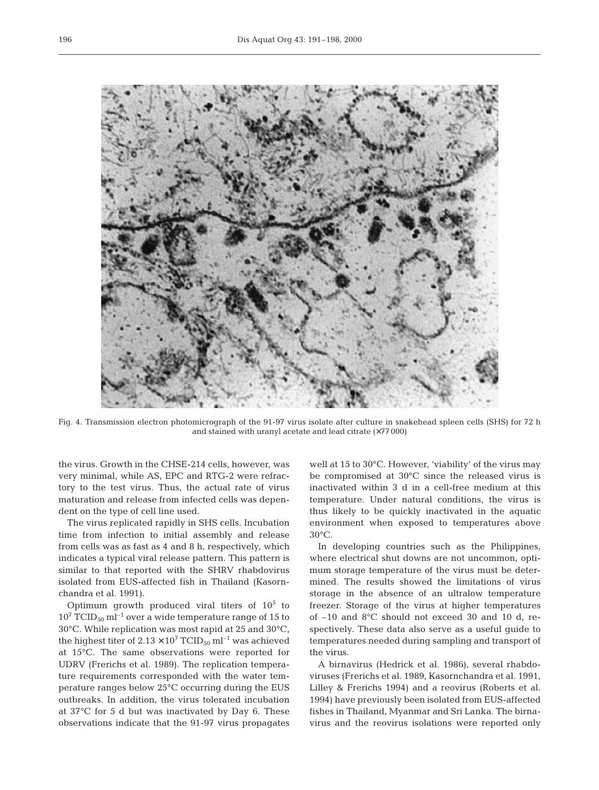

Fig. 4. Transmission electron photomicrograph of the 91-97 virus isolate after culture in snakehead spleen cells (SHS) for 72 h and stained with uranyl acetate and lead citrate (×77 000)

the virus. Growth in the CHSE-214 cells, however, was very minimal, while AS, EPC and RTG-2 were refractory to the test virus. Thus, the actual rate of virus maturation and release from infected cells was dependent on the type of cell line used.

The virus replicated rapidly in SHS cells. Incubation time from infection to initial assembly and release from cells was as fast as 4 and 8 h, respectively, which indicates a typical viral release pattern. This pattern is similar to that reported with the SHRV rhabdovirus isolated from EUS-affected fish in Thailand (Kasornchandra et al. 1991).

Optimum growth produced viral titers of  $10^5$  to  $10^7$  TCID<sub>50</sub> ml<sup>-1</sup> over a wide temperature range of 15 to 30°C. While replication was most rapid at 25 and 30°C, the highest titer of  $2.13 \times 10^7$  TCID<sub>50</sub> ml<sup>-1</sup> was achieved at 15°C. The same observations were reported for UDRV (Frerichs et al. 1989). The replication temperature requirements corresponded with the water temperature ranges below 25°C occurring during the EUS outbreaks. In addition, the virus tolerated incubation at 37°C for 5 d but was inactivated by Day 6. These observations indicate that the 91-97 virus propagates well at 15 to 30°C. However, 'viability' of the virus may be compromised at 30°C since the released virus is inactivated within 3 d in a cell-free medium at this temperature. Under natural conditions, the virus is thus likely to be quickly inactivated in the aquatic environment when exposed to temperatures above 30°C.

In developing countries such as the Philippines, where electrical shut downs are not uncommon, optimum storage temperature of the virus must be determined. The results showed the limitations of virus storage in the absence of an ultralow temperature freezer. Storage of the virus at higher temperatures of –10 and 8°C should not exceed 30 and 10 d, respectively. These data also serve as a useful guide to temperatures needed during sampling and transport of the virus.

A birnavirus (Hedrick et al. 1986), several rhabdoviruses (Frerichs et al. 1989, Kasornchandra et al. 1991, Lilley & Frerichs 1994) and a reovirus (Roberts et al. 1994) have previously been isolated from EUS-affected fishes in Thailand, Myanmar and Sri Lanka. The birnavirus and the reovirus isolations were reported only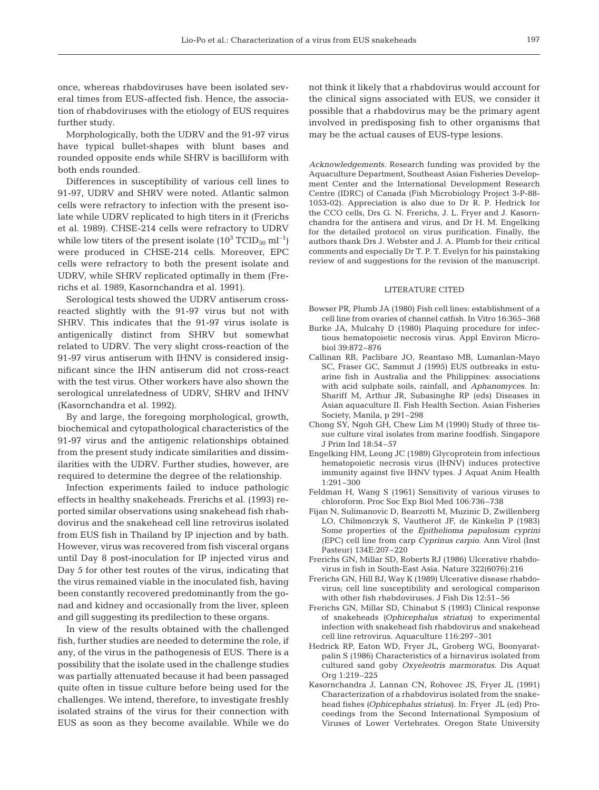once, whereas rhabdoviruses have been isolated several times from EUS-affected fish. Hence, the association of rhabdoviruses with the etiology of EUS requires further study.

Morphologically, both the UDRV and the 91-97 virus have typical bullet-shapes with blunt bases and rounded opposite ends while SHRV is bacilliform with both ends rounded.

Differences in susceptibility of various cell lines to 91-97, UDRV and SHRV were noted. Atlantic salmon cells were refractory to infection with the present isolate while UDRV replicated to high titers in it (Frerichs et al. 1989). CHSE-214 cells were refractory to UDRV while low titers of the present isolate  $(10^3 \text{ TCID}_{50} \text{ ml}^{-1})$ were produced in CHSE-214 cells. Moreover, EPC cells were refractory to both the present isolate and UDRV, while SHRV replicated optimally in them (Frerichs et al. 1989, Kasornchandra et al. 1991).

Serological tests showed the UDRV antiserum crossreacted slightly with the 91-97 virus but not with SHRV. This indicates that the 91-97 virus isolate is antigenically distinct from SHRV but somewhat related to UDRV. The very slight cross-reaction of the 91-97 virus antiserum with IHNV is considered insignificant since the IHN antiserum did not cross-react with the test virus. Other workers have also shown the serological unrelatedness of UDRV, SHRV and IHNV (Kasornchandra et al. 1992).

By and large, the foregoing morphological, growth, biochemical and cytopathological characteristics of the 91-97 virus and the antigenic relationships obtained from the present study indicate similarities and dissimilarities with the UDRV. Further studies, however, are required to determine the degree of the relationship.

Infection experiments failed to induce pathologic effects in healthy snakeheads. Frerichs et al. (1993) reported similar observations using snakehead fish rhabdovirus and the snakehead cell line retrovirus isolated from EUS fish in Thailand by IP injection and by bath. However, virus was recovered from fish visceral organs until Day 8 post-inoculation for IP injected virus and Day 5 for other test routes of the virus, indicating that the virus remained viable in the inoculated fish, having been constantly recovered predominantly from the gonad and kidney and occasionally from the liver, spleen and gill suggesting its predilection to these organs.

In view of the results obtained with the challenged fish, further studies are needed to determine the role, if any, of the virus in the pathogenesis of EUS. There is a possibility that the isolate used in the challenge studies was partially attenuated because it had been passaged quite often in tissue culture before being used for the challenges. We intend, therefore, to investigate freshly isolated strains of the virus for their connection with EUS as soon as they become available. While we do

not think it likely that a rhabdovirus would account for the clinical signs associated with EUS, we consider it possible that a rhabdovirus may be the primary agent involved in predisposing fish to other organisms that may be the actual causes of EUS-type lesions.

*Acknowledgements.* Research funding was provided by the Aquaculture Department, Southeast Asian Fisheries Development Center and the International Development Research Centre (IDRC) of Canada (Fish Microbiology Project 3-P-88- 1053-02). Appreciation is also due to Dr R. P. Hedrick for the CCO cells, Drs G. N. Frerichs, J. L. Fryer and J. Kasornchandra for the antisera and virus, and Dr H. M. Engelking for the detailed protocol on virus purification. Finally, the authors thank Drs J. Webster and J. A. Plumb for their critical comments and especially Dr T. P. T. Evelyn for his painstaking review of and suggestions for the revision of the manuscript.

#### LITERATURE CITED

- Bowser PR, Plumb JA (1980) Fish cell lines: establishment of a cell line from ovaries of channel catfish. In Vitro 16:365–368
- Burke JA, Mulcahy D (1980) Plaquing procedure for infectious hematopoietic necrosis virus. Appl Environ Microbiol 39:872–876
- Callinan RB, Paclibare JO, Reantaso MB, Lumanlan-Mayo SC, Fraser GC, Sammut J (1995) EUS outbreaks in estuarine fish in Australia and the Philippines: associations with acid sulphate soils, rainfall, and *Aphanomyces*. In: Shariff M, Arthur JR, Subasinghe RP (eds) Diseases in Asian aquaculture II. Fish Health Section. Asian Fisheries Society, Manila, p 291–298
- Chong SY, Ngoh GH, Chew Lim M (1990) Study of three tissue culture viral isolates from marine foodfish. Singapore J Prim Ind 18:54–57
- Engelking HM, Leong JC (1989) Glycoprotein from infectious hematopoietic necrosis virus (IHNV) induces protective immunity against five IHNV types. J Aquat Anim Health 1:291–300
- Feldman H, Wang S (1961) Sensitivity of various viruses to chloroform. Proc Soc Exp Biol Med 106:736–738
- Fijan N, Sulimanovic D, Bearzotti M, Muzinic D, Zwillenberg LO, Chilmonczyk S, Vautherot JF, de Kinkelin P (1983) Some properties of the *Epithelioma papulosum cyprini* (EPC) cell line from carp *Cyprinus carpio*. Ann Virol (Inst Pasteur) 134E:207–220
- Frerichs GN, Millar SD, Roberts RJ (1986) Ulcerative rhabdovirus in fish in South-East Asia. Nature 322(6076):216
- Frerichs GN, Hill BJ, Way K (1989) Ulcerative disease rhabdovirus; cell line susceptibility and serological comparison with other fish rhabdoviruses. J Fish Dis 12:51–56
- Frerichs GN, Millar SD, Chinabut S (1993) Clinical response of snakeheads *(Ophicephalus striatus*) to experimental infection with snakehead fish rhabdovirus and snakehead cell line retrovirus. Aquaculture 116:297–301
- Hedrick RP, Eaton WD, Fryer JL, Groberg WG, Boonyaratpalin S (1986) Characteristics of a birnavirus isolated from cultured sand goby *Oxyeleotris marmoratus*. Dis Aquat Org 1:219–225
- Kasornchandra J, Lannan CN, Rohovec JS, Fryer JL (1991) Characterization of a rhabdovirus isolated from the snakehead fishes *(Ophicephalus striatus*). In: Fryer JL (ed) Proceedings from the Second International Symposium of Viruses of Lower Vertebrates. Oregon State University